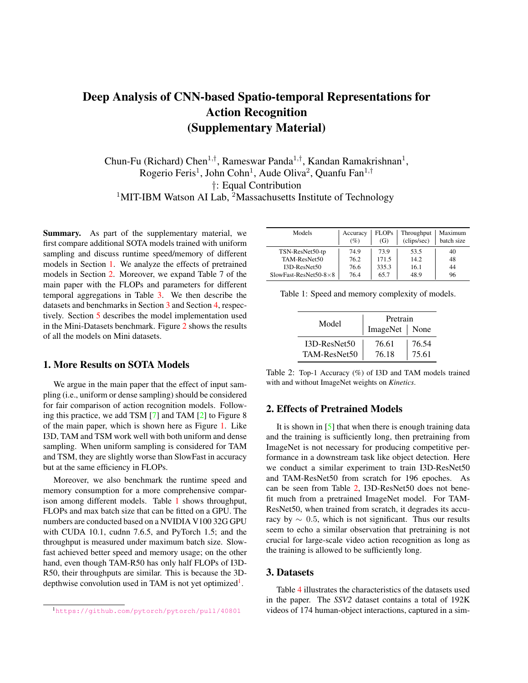# Deep Analysis of CNN-based Spatio-temporal Representations for Action Recognition (Supplementary Material)

Chun-Fu (Richard) Chen<sup>1,†</sup>, Rameswar Panda<sup>1,†</sup>, Kandan Ramakrishnan<sup>1</sup>, Rogerio Feris<sup>1</sup>, John Cohn<sup>1</sup>, Aude Oliva<sup>2</sup>, Quanfu Fan<sup>1,†</sup> †: Equal Contribution <sup>1</sup>MIT-IBM Watson AI Lab, <sup>2</sup>Massachusetts Institute of Technology

Summary. As part of the supplementary material, we first compare additional SOTA models trained with uniform sampling and discuss runtime speed/memory of different models in Section 1. We analyze the effects of pretrained models in Section 2. Moreover, we expand Table 7 of the main paper with the FLOPs and parameters for different temporal aggregations in Table 3. We then describe the datasets and benchmarks in Section 3 and Section 4, respectively. Section 5 describes the model implementation used in the Mini-Datasets benchmark. Figure 2 shows the results of all the models on Mini datasets.

# 1. More Results on SOTA Models

We argue in the main paper that the effect of input sampling (i.e., uniform or dense sampling) should be considered for fair comparison of action recognition models. Following this practice, we add TSM [7] and TAM [2] to Figure 8 of the main paper, which is shown here as Figure 1. Like I3D, TAM and TSM work well with both uniform and dense sampling. When uniform sampling is considered for TAM and TSM, they are slightly worse than SlowFast in accuracy but at the same efficiency in FLOPs.

Moreover, we also benchmark the runtime speed and memory consumption for a more comprehensive comparison among different models. Table 1 shows throughput, FLOPs and max batch size that can be fitted on a GPU. The numbers are conducted based on a NVIDIA V100 32G GPU with CUDA 10.1, cudnn 7.6.5, and PyTorch 1.5; and the throughput is measured under maximum batch size. Slowfast achieved better speed and memory usage; on the other hand, even though TAM-R50 has only half FLOPs of I3D-R50, their throughputs are similar. This is because the 3Ddepthwise convolution used in TAM is not yet optimized<sup>1</sup>.

| Models                         | Accuracy<br>$(\%)$ | <b>FLOPs</b><br>(G) | Throughput<br>(clips/sec) | Maximum<br>batch size |
|--------------------------------|--------------------|---------------------|---------------------------|-----------------------|
| TSN-ResNet50-tp                | 74.9               | 73.9                | 53.5                      | 40                    |
| TAM-ResNet50                   | 76.2               | 171.5               | 14.2                      | 48                    |
| $I3D-ResNet50$                 | 76.6               | 335.3               | 16.1                      | 44                    |
| SlowFast-ResNet50-8 $\times$ 8 | 76.4               | 65.7                | 48.9                      | 96                    |

Table 1: Speed and memory complexity of models.

| Model        | Pretrain<br>ImageNet   None |       |  |  |
|--------------|-----------------------------|-------|--|--|
| I3D-ResNet50 | 76.61                       | 76.54 |  |  |
| TAM-ResNet50 | 76.18                       | 75.61 |  |  |

Table 2: Top-1 Accuracy (%) of I3D and TAM models trained with and without ImageNet weights on *Kinetics*.

#### 2. Effects of Pretrained Models

It is shown in  $[5]$  that when there is enough training data and the training is sufficiently long, then pretraining from ImageNet is not necessary for producing competitive performance in a downstream task like object detection. Here we conduct a similar experiment to train I3D-ResNet50 and TAM-ResNet50 from scratch for 196 epoches. As can be seen from Table 2, I3D-ResNet50 does not benefit much from a pretrained ImageNet model. For TAM-ResNet50, when trained from scratch, it degrades its accuracy by  $\sim 0.5$ , which is not significant. Thus our results seem to echo a similar observation that pretraining is not crucial for large-scale video action recognition as long as the training is allowed to be sufficiently long.

## 3. Datasets

Table 4 illustrates the characteristics of the datasets used in the paper. The *SSV2* dataset contains a total of 192K videos of 174 human-object interactions, captured in a sim-

<sup>1</sup>https://github.com/pytorch/pytorch/pull/40801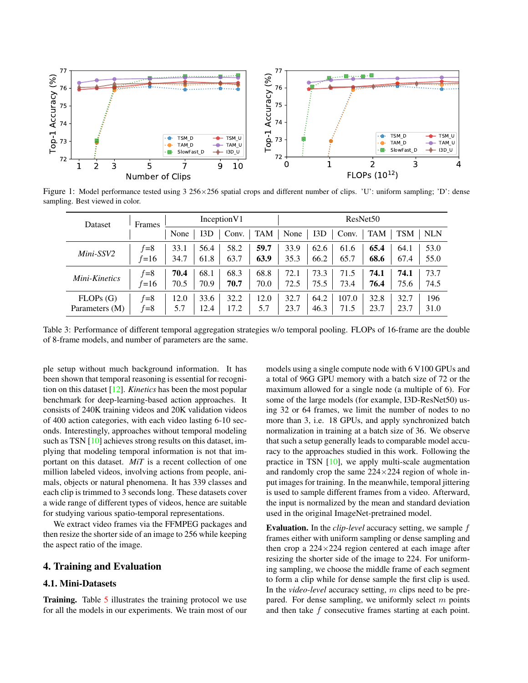

Figure 1: Model performance tested using 3 256×256 spatial crops and different number of clips. 'U': uniform sampling; 'D': dense sampling. Best viewed in color.

| Frames<br>Dataset |          | InceptionV1 |      |       | ResNet <sub>50</sub> |      |      |       |            |            |            |
|-------------------|----------|-------------|------|-------|----------------------|------|------|-------|------------|------------|------------|
|                   |          | None        | 13D  | Conv. | TAM                  | None | 13D  | Conv. | <b>TAM</b> | <b>TSM</b> | <b>NLN</b> |
| Mini-SSV2         | $f=8$    | 33.1        | 56.4 | 58.2  | 59.7                 | 33.9 | 62.6 | 61.6  | 65.4       | 64.1       | 53.0       |
|                   | $f = 16$ | 34.7        | 61.8 | 63.7  | 63.9                 | 35.3 | 66.2 | 65.7  | 68.6       | 67.4       | 55.0       |
| Mini-Kinetics     | $f = 8$  | 70.4        | 68.1 | 68.3  | 68.8                 | 72.1 | 73.3 | 71.5  | 74.1       | 74.1       | 73.7       |
|                   | $f = 16$ | 70.5        | 70.9 | 70.7  | 70.0                 | 72.5 | 75.5 | 73.4  | 76.4       | 75.6       | 74.5       |
| FLOPs(G)          | $f=8$    | 12.0        | 33.6 | 32.2  | 12.0                 | 32.7 | 64.2 | 107.0 | 32.8       | 32.7       | 196        |
| Parameters (M)    | $f=8$    | 5.7         | 12.4 | 17.2  | 5.7                  | 23.7 | 46.3 | 71.5  | 23.7       | 23.7       | 31.0       |

Table 3: Performance of different temporal aggregation strategies w/o temporal pooling. FLOPs of 16-frame are the double of 8-frame models, and number of parameters are the same.

ple setup without much background information. It has been shown that temporal reasoning is essential for recognition on this dataset [12]. *Kinetics* has been the most popular benchmark for deep-learning-based action approaches. It consists of 240K training videos and 20K validation videos of 400 action categories, with each video lasting 6-10 seconds. Interestingly, approaches without temporal modeling such as TSN [10] achieves strong results on this dataset, implying that modeling temporal information is not that important on this dataset. *MiT* is a recent collection of one million labeled videos, involving actions from people, animals, objects or natural phenomena. It has 339 classes and each clip is trimmed to 3 seconds long. These datasets cover a wide range of different types of videos, hence are suitable for studying various spatio-temporal representations.

We extract video frames via the FFMPEG packages and then resize the shorter side of an image to 256 while keeping the aspect ratio of the image.

#### 4. Training and Evaluation

## 4.1. Mini-Datasets

Training. Table 5 illustrates the training protocol we use for all the models in our experiments. We train most of our models using a single compute node with 6 V100 GPUs and a total of 96G GPU memory with a batch size of 72 or the maximum allowed for a single node (a multiple of 6). For some of the large models (for example, I3D-ResNet50) using 32 or 64 frames, we limit the number of nodes to no more than 3, i.e. 18 GPUs, and apply synchronized batch normalization in training at a batch size of 36. We observe that such a setup generally leads to comparable model accuracy to the approaches studied in this work. Following the practice in TSN [10], we apply multi-scale augmentation and randomly crop the same  $224\times224$  region of whole input images for training. In the meanwhile, temporal jittering is used to sample different frames from a video. Afterward, the input is normalized by the mean and standard deviation used in the original ImageNet-pretrained model.

Evaluation. In the *clip-level* accuracy setting, we sample f frames either with uniform sampling or dense sampling and then crop a  $224 \times 224$  region centered at each image after resizing the shorter side of the image to 224. For uniforming sampling, we choose the middle frame of each segment to form a clip while for dense sample the first clip is used. In the *video-level* accuracy setting, m clips need to be prepared. For dense sampling, we uniformly select  $m$  points and then take f consecutive frames starting at each point.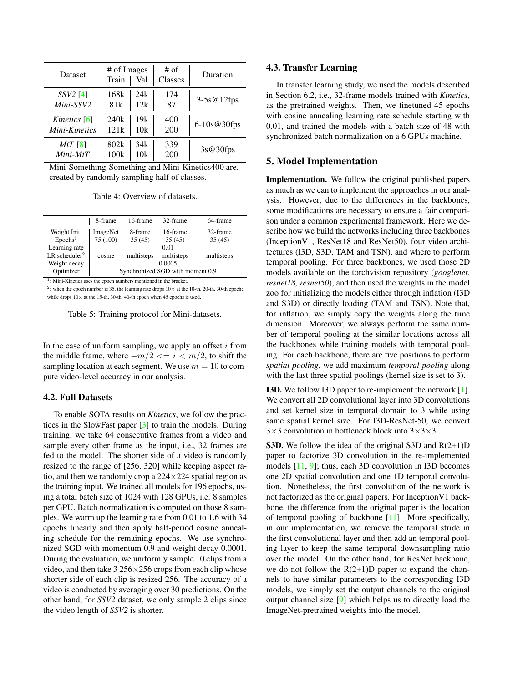| <b>Dataset</b> | # of Images<br>Train | Val | $#$ of<br>Classes | Duration       |
|----------------|----------------------|-----|-------------------|----------------|
| $SSV2$ [4]     | 168k                 | 24k | 174               | $3-5s@12fps$   |
| Mini-SSV2      | 81k                  | 12k | 87                |                |
| Kinetics [6]   | 240k                 | 19k | 400               | $6-10s@30$ fps |
| Mini-Kinetics  | 121k                 | 10k | 200               |                |
| $MiT$ [8]      | 802k                 | 34k | 339               | 3s@30fps       |
| $Mini$ - $MiT$ | 100k                 | 10k | 200               |                |

Mini-Something-Something and Mini-Kinetics400 are. created by randomly sampling half of classes.

Table 4: Overview of datasets.

|                           | 8-frame                          | 16-frame   | 32-frame   | 64-frame   |  |  |  |
|---------------------------|----------------------------------|------------|------------|------------|--|--|--|
| Weight Init.              | ImageNet                         | 8-frame    | 16-frame   | 32-frame   |  |  |  |
| Epochs <sup>1</sup>       | 75 (100)                         | 35(45)     | 35(45)     | 35(45)     |  |  |  |
| Learning rate             |                                  |            | 0.01       |            |  |  |  |
| LR scheduler <sup>2</sup> | cosine                           | multisteps | multisteps | multisteps |  |  |  |
| Weight decay              | 0.0005                           |            |            |            |  |  |  |
| Optimizer                 | Synchronized SGD with moment 0.9 |            |            |            |  |  |  |

1 : Mini-Kinetics uses the epoch numbers mentioned in the bracket.

<sup>2</sup>: when the epoch number is 35, the learning rate drops  $10 \times$  at the 10-th, 20-th, 30-th epoch; while drops  $10\times$  at the 15-th, 30-th, 40-th epoch when 45 epochs is used.

Table 5: Training protocol for Mini-datasets.

In the case of uniform sampling, we apply an offset  $i$  from the middle frame, where  $-m/2 \le i \le m/2$ , to shift the sampling location at each segment. We use  $m = 10$  to compute video-level accuracy in our analysis.

#### 4.2. Full Datasets

To enable SOTA results on *Kinetics*, we follow the practices in the SlowFast paper [3] to train the models. During training, we take 64 consecutive frames from a video and sample every other frame as the input, i.e., 32 frames are fed to the model. The shorter side of a video is randomly resized to the range of [256, 320] while keeping aspect ratio, and then we randomly crop a  $224 \times 224$  spatial region as the training input. We trained all models for 196 epochs, using a total batch size of 1024 with 128 GPUs, i.e. 8 samples per GPU. Batch normalization is computed on those 8 samples. We warm up the learning rate from 0.01 to 1.6 with 34 epochs linearly and then apply half-period cosine annealing schedule for the remaining epochs. We use synchronized SGD with momentum 0.9 and weight decay 0.0001. During the evaluation, we uniformly sample 10 clips from a video, and then take  $3\,256\times256$  crops from each clip whose shorter side of each clip is resized 256. The accuracy of a video is conducted by averaging over 30 predictions. On the other hand, for *SSV2* dataset, we only sample 2 clips since the video length of *SSV2* is shorter.

#### 4.3. Transfer Learning

In transfer learning study, we used the models described in Section 6.2, i.e., 32-frame models trained with *Kinetics*, as the pretrained weights. Then, we finetuned 45 epochs with cosine annealing learning rate schedule starting with 0.01, and trained the models with a batch size of 48 with synchronized batch normalization on a 6 GPUs machine.

# 5. Model Implementation

Implementation. We follow the original published papers as much as we can to implement the approaches in our analysis. However, due to the differences in the backbones, some modifications are necessary to ensure a fair comparison under a common experimental framework. Here we describe how we build the networks including three backbones (InceptionV1, ResNet18 and ResNet50), four video architectures (I3D, S3D, TAM and TSN), and where to perform temporal pooling. For three backbones, we used those 2D models available on the torchvision repository (*googlenet, resnet18, resnet50*), and then used the weights in the model zoo for initializing the models either through inflation (I3D and S3D) or directly loading (TAM and TSN). Note that, for inflation, we simply copy the weights along the time dimension. Moreover, we always perform the same number of temporal pooling at the similar locations across all the backbones while training models with temporal pooling. For each backbone, there are five positions to perform *spatial pooling*, we add maximum *temporal pooling* along with the last three spatial poolings (kernel size is set to 3).

I3D. We follow I3D paper to re-implement the network [1]. We convert all 2D convolutional layer into 3D convolutions and set kernel size in temporal domain to 3 while using same spatial kernel size. For I3D-ResNet-50, we convert  $3\times3$  convolution in bottleneck block into  $3\times3\times3$ .

S3D. We follow the idea of the original S3D and R(2+1)D paper to factorize 3D convolution in the re-implemented models [11, 9]; thus, each 3D convolution in I3D becomes one 2D spatial convolution and one 1D temporal convolution. Nonetheless, the first convolution of the network is not factorized as the original papers. For InceptionV1 backbone, the difference from the original paper is the location of temporal pooling of backbone [11]. More specifically, in our implementation, we remove the temporal stride in the first convolutional layer and then add an temporal pooling layer to keep the same temporal downsampling ratio over the model. On the other hand, for ResNet backbone, we do not follow the  $R(2+1)D$  paper to expand the channels to have similar parameters to the corresponding I3D models, we simply set the output channels to the original output channel size [9] which helps us to directly load the ImageNet-pretrained weights into the model.